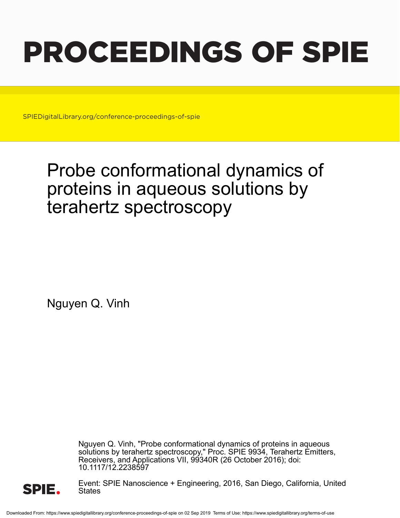# PROCEEDINGS OF SPIE

SPIEDigitalLibrary.org/conference-proceedings-of-spie

## Probe conformational dynamics of proteins in aqueous solutions by terahertz spectroscopy

Nguyen Q. Vinh

Nguyen Q. Vinh, "Probe conformational dynamics of proteins in aqueous solutions by terahertz spectroscopy," Proc. SPIE 9934, Terahertz Emitters, Receivers, and Applications VII, 99340R (26 October 2016); doi: 10.1117/12.2238597



Event: SPIE Nanoscience + Engineering, 2016, San Diego, California, United States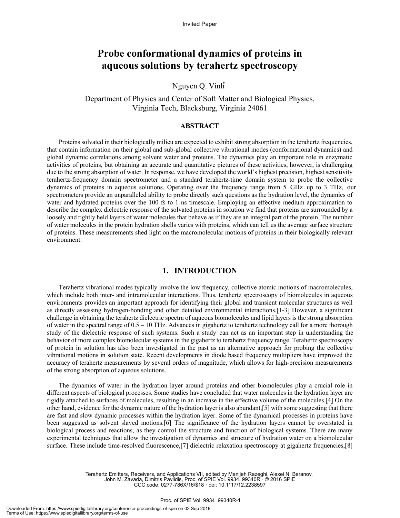### **Probe conformational dynamics of proteins in aqueous solutions by terahertz spectroscopy**

Nguyen Q. Vinh<sup>\*</sup>

Department of Physics and Center of Soft Matter and Biological Physics, Virginia Tech, Blacksburg, Virginia 24061

#### **ABSTRACT**

Proteins solvated in their biologically milieu are expected to exhibit strong absorption in the terahertz frequencies, that contain information on their global and sub-global collective vibrational modes (conformational dynamics) and global dynamic correlations among solvent water and proteins. The dynamics play an important role in enzymatic activities of proteins, but obtaining an accurate and quantitative pictures of these activities, however, is challenging due to the strong absorption of water. In response, we have developed the world's highest precision, highest sensitivity terahertz-frequency domain spectrometer and a standard terahertz-time domain system to probe the collective dynamics of proteins in aqueous solutions. Operating over the frequency range from 5 GHz up to 3 THz, our spectrometers provide an unparalleled ability to probe directly such questions as the hydration level, the dynamics of water and hydrated proteins over the 100 fs to 1 ns timescale. Employing an effective medium approximation to describe the complex dielectric response of the solvated proteins in solution we find that proteins are surrounded by a loosely and tightly held layers of water molecules that behave as if they are an integral part of the protein. The number of water molecules in the protein hydration shells varies with proteins, which can tell us the average surface structure of proteins. These measurements shed light on the macromolecular motions of proteins in their biologically relevant environment.

#### **1. INTRODUCTION**

Terahertz vibrational modes typically involve the low frequency, collective atomic motions of macromolecules, which include both inter- and intramolecular interactions. Thus, terahertz spectroscopy of biomolecules in aqueous environments provides an important approach for identifying their global and transient molecular structures as well as directly assessing hydrogen-bonding and other detailed environmental interactions.[1-3] However, a significant challenge in obtaining the terahertz dielectric spectra of aqueous biomolecules and lipid layers is the strong absorption of water in the spectral range of 0.5 – 10 THz. Advances in gigahertz to terahertz technology call for a more thorough study of the dielectric response of such systems. Such a study can act as an important step in understanding the behavior of more complex biomolecular systems in the gigahertz to terahertz frequency range. Terahertz spectroscopy of protein in solution has also been investigated in the past as an alternative approach for probing the collective vibrational motions in solution state. Recent developments in diode based frequency multipliers have improved the accuracy of terahertz measurements by several orders of magnitude, which allows for high-precision measurements of the strong absorption of aqueous solutions.

The dynamics of water in the hydration layer around proteins and other biomolecules play a crucial role in different aspects of biological processes. Some studies have concluded that water molecules in the hydration layer are rigidly attached to surfaces of molecules, resulting in an increase in the effective volume of the molecules.[4] On the other hand, evidence for the dynamic nature of the hydration layer is also abundant,[5] with some suggesting that there are fast and slow dynamic processes within the hydration layer. Some of the dynamical processes in proteins have been suggested as solvent slaved motions.[6] The significance of the hydration layers cannot be overstated in biological process and reactions, as they control the structure and function of biological systems. There are many experimental techniques that allow the investigation of dynamics and structure of hydration water on a biomolecular surface. These include time-resolved fluorescence,[7] dielectric relaxation spectroscopy at gigahertz frequencies,[8]

> Terahertz Emitters, Receivers, and Applications VII, edited by Manijeh Razeghi, Alexei N. Baranov, John M. Zavada, Dimitris Pavlidis, Proc. of SPIE Vol. 9934, 99340R · © 2016 SPIE CCC code: 0277-786X/16/\$18 · doi: 10.1117/12.2238597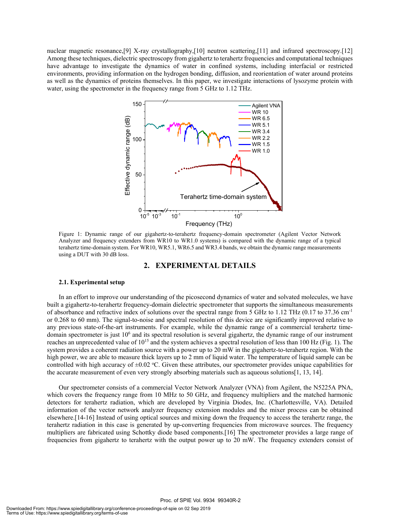nuclear magnetic resonance,[9] X-ray crystallography,[10] neutron scattering,[11] and infrared spectroscopy.[12] Among these techniques, dielectric spectroscopy from gigahertz to terahertz frequencies and computational techniques have advantage to investigate the dynamics of water in confined systems, including interfacial or restricted environments, providing information on the hydrogen bonding, diffusion, and reorientation of water around proteins as well as the dynamics of proteins themselves. In this paper, we investigate interactions of lysozyme protein with water, using the spectrometer in the frequency range from 5 GHz to 1.12 THz.



Figure 1: Dynamic range of our gigahertz-to-terahertz frequency-domain spectrometer (Agilent Vector Network Analyzer and frequency extenders from WR10 to WR1.0 systems) is compared with the dynamic range of a typical terahertz time-domain system. For WR10, WR5.1, WR6.5 and WR3.4 bands, we obtain the dynamic range measurements using a DUT with 30 dB loss.

#### **2. EXPERIMENTAL DETAILS**

#### **2.1. Experimental setup**

In an effort to improve our understanding of the picosecond dynamics of water and solvated molecules, we have built a gigahertz-to-terahertz frequency-domain dielectric spectrometer that supports the simultaneous measurements of absorbance and refractive index of solutions over the spectral range from 5 GHz to 1.12 THz (0.17 to 37.36 cm-1 or 0.268 to 60 mm). The signal-to-noise and spectral resolution of this device are significantly improved relative to any previous state-of-the-art instruments. For example, while the dynamic range of a commercial terahertz timedomain spectrometer is just  $10<sup>6</sup>$  and its spectral resolution is several gigahertz, the dynamic range of our instrument reaches an unprecedented value of 10<sup>15</sup> and the system achieves a spectral resolution of less than 100 Hz (Fig. 1). The system provides a coherent radiation source with a power up to 20 mW in the gigahertz-to-terahertz region. With the high power, we are able to measure thick layers up to 2 mm of liquid water. The temperature of liquid sample can be controlled with high accuracy of  $\pm 0.02$  °C. Given these attributes, our spectrometer provides unique capabilities for the accurate measurement of even very strongly absorbing materials such as aqueous solutions[1, 13, 14].

Our spectrometer consists of a commercial Vector Network Analyzer (VNA) from Agilent, the N5225A PNA, which covers the frequency range from 10 MHz to 50 GHz, and frequency multipliers and the matched harmonic detectors for terahertz radiation, which are developed by Virginia Diodes, Inc. (Charlottesville, VA). Detailed information of the vector network analyzer frequency extension modules and the mixer process can be obtained elsewhere.[14-16] Instead of using optical sources and mixing down the frequency to access the terahertz range, the terahertz radiation in this case is generated by up-converting frequencies from microwave sources. The frequency multipliers are fabricated using Schottky diode based components.[16] The spectrometer provides a large range of frequencies from gigahertz to terahertz with the output power up to 20 mW. The frequency extenders consist of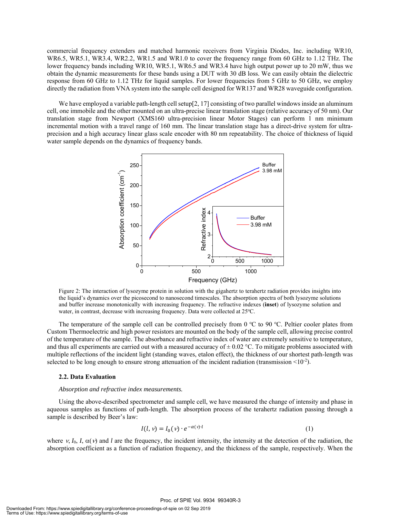commercial frequency extenders and matched harmonic receivers from Virginia Diodes, Inc. including WR10, WR6.5, WR5.1, WR3.4, WR2.2, WR1.5 and WR1.0 to cover the frequency range from 60 GHz to 1.12 THz. The lower frequency bands including WR10, WR5.1, WR6.5 and WR3.4 have high output power up to 20 mW, thus we obtain the dynamic measurements for these bands using a DUT with 30 dB loss. We can easily obtain the dielectric response from 60 GHz to 1.12 THz for liquid samples. For lower frequencies from 5 GHz to 50 GHz, we employ directly the radiation from VNA system into the sample cell designed for WR137 and WR28 waveguide configuration.

We have employed a variable path-length cell setup[2, 17] consisting of two parallel windows inside an aluminum cell, one immobile and the other mounted on an ultra-precise linear translation stage (relative accuracy of 50 nm). Our translation stage from Newport (XMS160 ultra-precision linear Motor Stages) can perform 1 nm minimum incremental motion with a travel range of 160 mm. The linear translation stage has a direct-drive system for ultraprecision and a high accuracy linear glass scale encoder with 80 nm repeatability. The choice of thickness of liquid water sample depends on the dynamics of frequency bands.



Figure 2: The interaction of lysozyme protein in solution with the gigahertz to terahertz radiation provides insights into the liquid's dynamics over the picosecond to nanosecond timescales. The absorption spectra of both lysozyme solutions and buffer increase monotonically with increasing frequency. The refractive indexes (**inset**) of lysozyme solution and water, in contrast, decrease with increasing frequency. Data were collected at 25°C.

The temperature of the sample cell can be controlled precisely from  $0^{\circ}$ C to  $90^{\circ}$ C. Peltier cooler plates from Custom Thermoelectric and high power resistors are mounted on the body of the sample cell, allowing precise control of the temperature of the sample. The absorbance and refractive index of water are extremely sensitive to temperature, and thus all experiments are carried out with a measured accuracy of  $\pm 0.02$  °C. To mitigate problems associated with multiple reflections of the incident light (standing waves, etalon effect), the thickness of our shortest path-length was selected to be long enough to ensure strong attenuation of the incident radiation (transmission  $\leq 10^{-2}$ ).

#### **2.2. Data Evaluation**

#### *Absorption and refractive index measurements.*

Using the above-described spectrometer and sample cell, we have measured the change of intensity and phase in aqueous samples as functions of path-length. The absorption process of the terahertz radiation passing through a sample is described by Beer's law:

$$
I(l, v) = I_0(v) \cdot e^{-\alpha(v) \cdot l} \tag{1}
$$

where  $\gamma$ ,  $I_0$ ,  $I_1 \alpha(\gamma)$  and *l* are the frequency, the incident intensity, the intensity at the detection of the radiation, the absorption coefficient as a function of radiation frequency, and the thickness of the sample, respectively. When the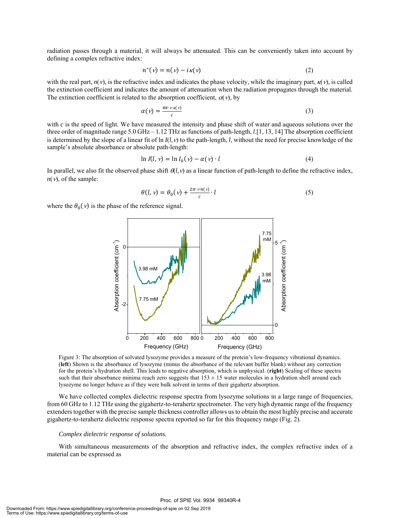radiation passes through a material, it will always be attenuated. This can be conveniently taken into account by defining a complex refractive index:

$$
n^*(v) = n(v) - i\kappa(v) \tag{2}
$$

with the real part,  $n(v)$ , is the refractive index and indicates the phase velocity, while the imaginary part,  $\kappa(v)$ , is called the extinction coefficient and indicates the amount of attenuation when the radiation propagates through the material. The extinction coefficient is related to the absorption coefficient,  $\alpha(v)$ , by

$$
\alpha(\nu) = \frac{4\pi \cdot \nu \kappa(\nu)}{c} \tag{3}
$$

with *c* is the speed of light. We have measured the intensity and phase shift of water and aqueous solutions over the three order of magnitude range 5.0 GHz – 1.12 THz as functions of path-length, *l*.[1, 13, 14] The absorption coefficient is determined by the slope of a linear fit of ln  $I(l, v)$  to the path-length, *l*, without the need for precise knowledge of the sample's absolute absorbance or absolute path-length:

$$
\ln I(l, v) = \ln I_0(v) - \alpha(v) \cdot l \tag{4}
$$

In parallel, we also fit the observed phase shift  $\theta(l,v)$  as a linear function of path-length to define the refractive index,  $n(v)$ , of the sample:

$$
\theta(l, v) = \theta_0(v) + \frac{2\pi \cdot v n(v)}{c} \cdot l \tag{5}
$$

where the  $\theta_0(\nu)$  is the phase of the reference signal.



Figure 3: The absorption of solvated lysozyme provides a measure of the protein's low-frequency vibrational dynamics. (**left**) Shown is the absorbance of lysozyme (minus the absorbance of the relevant buffer blank) without any correction for the protein's hydration shell. This leads to negative absorption, which is unphysical. (**right**) Scaling of these spectra such that their absorbance minima reach zero suggests that  $153 \pm 15$  water molecules in a hydration shell around each lysozyme no longer behave as if they were bulk solvent in terms of their gigahertz absorption.

We have collected complex dielectric response spectra from lysozyme solutions in a large range of frequencies, from 60 GHz to 1.12 THz using the gigahertz-to-terahertz spectrometer. The very high dynamic range of the frequency extenders together with the precise sample thickness controller allows us to obtain the most highly precise and accurate gigahertz-to-terahertz dielectric response spectra reported so far for this frequency range (Fig. 2).

#### *Complex dielectric response of solutions.*

With simultaneous measurements of the absorption and refractive index, the complex refractive index of a material can be expressed as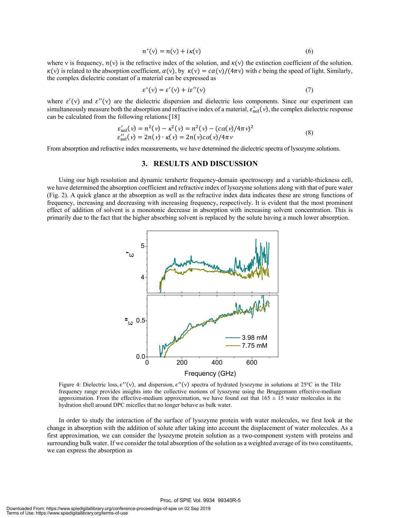$$
n^*(v) = n(v) + i\kappa(v) \tag{6}
$$

where v is frequency,  $n(v)$  is the refractive index of the solution, and  $\kappa(v)$  the extinction coefficient of the solution.  $\kappa(v)$  is related to the absorption coefficient,  $\alpha(v)$ , by  $\kappa(v) = c\alpha(v)/(4\pi v)$  with *c* being the speed of light. Similarly, the complex dielectric constant of a material can be expressed as

$$
\varepsilon^*(v) = \varepsilon'(v) + i\varepsilon''(v) \tag{7}
$$

where  $\varepsilon'(\nu)$  and  $\varepsilon''(\nu)$  are the dielectric dispersion and dielectric loss components. Since our experiment can simultaneously measure both the absorption and refractive index of a material,  $\varepsilon_{sol}^*(v)$ , the complex dielectric response can be calculated from the following relations:[18]

$$
\varepsilon'_{\text{sol}}(\nu) = n^2(\nu) - \kappa^2(\nu) = n^2(\nu) - (c\alpha(\nu)/4\pi\nu)^2 \n\varepsilon''_{\text{sol}}(\nu) = 2n(\nu) \cdot \kappa(\nu) = 2n(\nu)c\alpha(\nu)/4\pi\nu
$$
\n(8)

From absorption and refractive index measurements, we have determined the dielectric spectra of lysozyme solutions.

#### **3. RESULTS AND DISCUSSION**

Using our high resolution and dynamic terahertz frequency-domain spectroscopy and a variable-thickness cell, we have determined the absorption coefficient and refractive index of lysozyme solutions along with that of pure water (Fig. 2). A quick glance at the absorption as well as the refractive index data indicates these are strong functions of frequency, increasing and decreasing with increasing frequency, respectively. It is evident that the most prominent effect of addition of solvent is a monotonic decrease in absorption with increasing solvent concentration. This is primarily due to the fact that the higher absorbing solvent is replaced by the solute having a much lower absorption.



Figure 4: Dielectric loss,  $\epsilon''(v)$ , and dispersion,  $\epsilon''(v)$  spectra of hydrated lysozyme in solutions at 25°C in the THz frequency range provides insights into the collective motions of lysozyme using the Bruggemann effective-medium approximation. From the effective-medium approximation, we have found out that  $165 \pm 15$  water molecules in the hydration shell around DPC micelles that no longer behave as bulk water.

In order to study the interaction of the surface of lysozyme protein with water molecules, we first look at the change in absorption with the addition of solute after taking into account the displacement of water molecules. As a first approximation, we can consider the lysozyme protein solution as a two-component system with proteins and surrounding bulk water. If we consider the total absorption of the solution as a weighted average of its two constituents, we can express the absorption as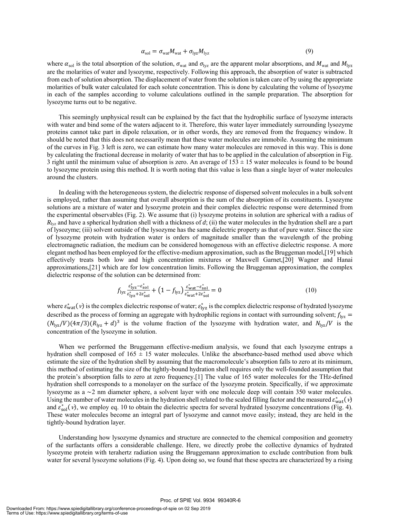$$
\alpha_{\text{sol}} = \sigma_{\text{wat}} M_{\text{wat}} + \sigma_{\text{lyz}} M_{\text{lyz}} \tag{9}
$$

where  $\alpha_{sol}$  is the total absorption of the solution,  $\sigma_{wat}$  and  $\sigma_{lyz}$  are the apparent molar absorptions, and  $M_{wat}$  and  $M_{lyz}$ are the molarities of water and lysozyme, respectively. Following this approach, the absorption of water is subtracted from each of solution absorption. The displacement of water from the solution is taken care of by using the appropriate molarities of bulk water calculated for each solute concentration. This is done by calculating the volume of lysozyme in each of the samples according to volume calculations outlined in the sample preparation. The absorption for lysozyme turns out to be negative.

This seemingly unphysical result can be explained by the fact that the hydrophilic surface of lysozyme interacts with water and bind some of the waters adjacent to it. Therefore, this water layer immediately surrounding lysozyme proteins cannot take part in dipole relaxation, or in other words, they are removed from the frequency window. It should be noted that this does not necessarily mean that these water molecules are immobile. Assuming the minimum of the curves in Fig. 3 left is zero, we can estimate how many water molecules are removed in this way. This is done by calculating the fractional decrease in molarity of water that has to be applied in the calculation of absorption in Fig. 3 right until the minimum value of absorption is zero. An average of  $153 \pm 15$  water molecules is found to be bound to lysozyme protein using this method. It is worth noting that this value is less than a single layer of water molecules around the clusters.

In dealing with the heterogeneous system, the dielectric response of dispersed solvent molecules in a bulk solvent is employed, rather than assuming that overall absorption is the sum of the absorption of its constituents. Lysozyme solutions are a mixture of water and lysozyme protein and their complex dielectric response were determined from the experimental observables (Fig. 2). We assume that (i) lysozyme proteins in solution are spherical with a radius of  $R_{1yz}$  and have a spherical hydration shell with a thickness of *d*; (ii) the water molecules in the hydration shell are a part of lysozyme; (iii) solvent outside of the lysozyme has the same dielectric property as that of pure water. Since the size of lysozyme protein with hydration water is orders of magnitude smaller than the wavelength of the probing electromagnetic radiation, the medium can be considered homogenous with an effective dielectric response. A more elegant method has been employed for the effective-medium approximation, such as the Bruggeman model,[19] which effectively treats both low and high concentration mixtures or Maxwell Garnet,[20] Wagner and Hanai approximations,[21] which are for low concentration limits. Following the Bruggeman approximation, the complex dielectric response of the solution can be determined from:

$$
f_{\text{lyz}} \frac{\varepsilon_{\text{lyz}}^* - \varepsilon_{\text{sol}}^*}{\varepsilon_{\text{lyz}}^* + 2\varepsilon_{\text{sol}}^*} + \left(1 - f_{\text{lyz}}\right) \frac{\varepsilon_{\text{wat}}^* - \varepsilon_{\text{sol}}^*}{\varepsilon_{\text{wat}}^* + 2\varepsilon_{\text{sol}}^*} = 0 \tag{10}
$$

where  $\varepsilon_{wat}^*(v)$  is the complex dielectric response of water;  $\varepsilon_{lyz}^*$  is the complex dielectric response of hydrated lysozyme described as the process of forming an aggregate with hydrophilic regions in contact with surrounding solvent;  $f_{\text{lyz}} =$  $(N_{\text{lyz}}/V)(4\pi/3)(R_{\text{lyz}} + d)^3$  is the volume fraction of the lysozyme with hydration water, and  $N_{\text{lyz}}/V$  is the concentration of the lysozyme in solution.

When we performed the Bruggemann effective-medium analysis, we found that each lysozyme entraps a hydration shell composed of  $165 \pm 15$  water molecules. Unlike the absorbance-based method used above which estimate the size of the hydration shell by assuming that the macromolecule's absorption falls to zero at its minimum, this method of estimating the size of the tightly-bound hydration shell requires only the well-founded assumption that the protein's absorption falls to zero at zero frequency.[1] The value of 165 water molecules for the THz-defined hydration shell corresponds to a monolayer on the surface of the lysozyme protein. Specifically, if we approximate lysozyme as a ∼2 nm diameter sphere, a solvent layer with one molecule deep will contain 350 water molecules. Using the number of water molecules in the hydration shell related to the scaled filling factor and the measured  $\varepsilon_{wat}^*(v)$ and  $\vec{\varepsilon}_{sol}^*(v)$ , we employ eq. 10 to obtain the dielectric spectra for several hydrated lysozyme concentrations (Fig. 4). These water molecules become an integral part of lysozyme and cannot move easily; instead, they are held in the tightly-bound hydration layer.

Understanding how lysozyme dynamics and structure are connected to the chemical composition and geometry of the surfactants offers a considerable challenge. Here, we directly probe the collective dynamics of hydrated lysozyme protein with terahertz radiation using the Bruggemann approximation to exclude contribution from bulk water for several lysozyme solutions (Fig. 4). Upon doing so, we found that these spectra are characterized by a rising

#### Proc. of SPIE Vol. 9934 99340R-6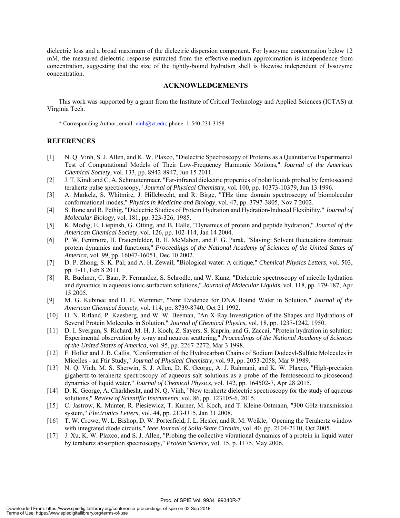dielectric loss and a broad maximum of the dielectric dispersion component. For lysozyme concentration below 12 mM, the measured dielectric response extracted from the effective-medium approximation is independence from concentration, suggesting that the size of the tightly-bound hydration shell is likewise independent of lysozyme concentration.

#### **ACKNOWLEDGEMENTS**

This work was supported by a grant from the Institute of Critical Technology and Applied Sciences (ICTAS) at Virginia Tech.

\* Corresponding Author, email: vinh@vt.edu; phone: 1-540-231-3158

#### **REFERENCES**

- [1] N. Q. Vinh, S. J. Allen, and K. W. Plaxco, "Dielectric Spectroscopy of Proteins as a Quantitative Experimental Test of Computational Models of Their Low-Frequency Harmonic Motions," *Journal of the American Chemical Society,* vol. 133, pp. 8942-8947, Jun 15 2011.
- [2] J. T. Kindt and C. A. Schmuttenmaer, "Far-infrared dielectric properties of polar liquids probed by femtosecond terahertz pulse spectroscopy," *Journal of Physical Chemistry,* vol. 100, pp. 10373-10379, Jun 13 1996.
- [3] A. Markelz, S. Whitmire, J. Hillebrecht, and R. Birge, "THz time domain spectroscopy of biomolecular conformational modes," *Physics in Medicine and Biology,* vol. 47, pp. 3797-3805, Nov 7 2002.
- [4] S. Bone and R. Pethig, "Dielectric Studies of Protein Hydration and Hydration-Induced Flexibility," *Journal of Molecular Biology,* vol. 181, pp. 323-326, 1985.
- [5] K. Modig, E. Liepinsh, G. Otting, and B. Halle, "Dynamics of protein and peptide hydration," *Journal of the American Chemical Society,* vol. 126, pp. 102-114, Jan 14 2004.
- [6] P. W. Fenimore, H. Frauenfelder, B. H. McMahon, and F. G. Parak, "Slaving: Solvent fluctuations dominate protein dynamics and functions," *Proceedings of the National Academy of Sciences of the United States of America,* vol. 99, pp. 16047-16051, Dec 10 2002.
- [7] D. P. Zhong, S. K. Pal, and A. H. Zewail, "Biological water: A critique," *Chemical Physics Letters,* vol. 503, pp. 1-11, Feb 8 2011.
- [8] R. Buchner, C. Baar, P. Fernandez, S. Schrodle, and W. Kunz, "Dielectric spectroscopy of micelle hydration and dynamics in aqueous ionic surfactant solutions," *Journal of Molecular Liquids,* vol. 118, pp. 179-187, Apr 15 2005.
- [9] M. G. Kubinec and D. E. Wemmer, "Nmr Evidence for DNA Bound Water in Solution," *Journal of the American Chemical Society,* vol. 114, pp. 8739-8740, Oct 21 1992.
- [10] H. N. Ritland, P. Kaesberg, and W. W. Beeman, "An X-Ray Investigation of the Shapes and Hydrations of Several Protein Molecules in Solution," *Journal of Chemical Physics,* vol. 18, pp. 1237-1242, 1950.
- [11] D. I. Svergun, S. Richard, M. H. J. Koch, Z. Sayers, S. Kuprin, and G. Zaccai, "Protein hydration in solution: Experimental observation by x-ray and neutron scattering," *Proceedings of the National Academy of Sciences of the United States of America,* vol. 95, pp. 2267-2272, Mar 3 1998.
- [12] F. Holler and J. B. Callis, "Conformation of the Hydrocarbon Chains of Sodium Dodecyl-Sulfate Molecules in Micelles - an Ftir Study," *Journal of Physical Chemistry,* vol. 93, pp. 2053-2058, Mar 9 1989.
- [13] N. Q. Vinh, M. S. Sherwin, S. J. Allen, D. K. George, A. J. Rahmani, and K. W. Plaxco, "High-precision gigahertz-to-terahertz spectroscopy of aqueous salt solutions as a probe of the femtosecond-to-picosecond dynamics of liquid water," *Journal of Chemical Physics,* vol. 142, pp. 164502-7, Apr 28 2015.
- [14] D. K. George, A. Charkhesht, and N. Q. Vinh, "New terahertz dielectric spectroscopy for the study of aqueous solutions," *Review of Scientific Instruments,* vol. 86, pp. 123105-6, 2015.
- [15] C. Jastrow, K. Munter, R. Piesiewicz, T. Kurner, M. Koch, and T. Kleine-Ostmann, "300 GHz transmission system," *Electronics Letters,* vol. 44, pp. 213-U15, Jan 31 2008.
- [16] T. W. Crowe, W. L. Bishop, D. W. Porterfield, J. L. Hesler, and R. M. Weikle, "Opening the Terahertz window with integrated diode circuits," *Ieee Journal of Solid-State Circuits,* vol. 40, pp. 2104-2110, Oct 2005.
- [17] J. Xu, K. W. Plaxco, and S. J. Allen, "Probing the collective vibrational dynamics of a protein in liquid water by terahertz absorption spectroscopy," *Protein Science,* vol. 15, p. 1175, May 2006.